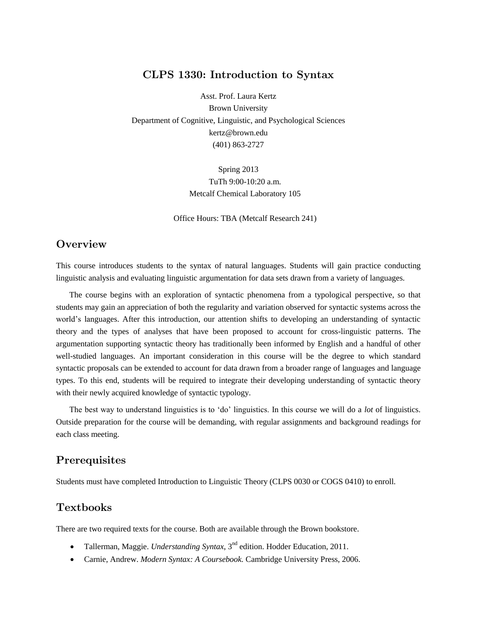### CLPS 1330: Introduction to Syntax

Asst. Prof. Laura Kertz Brown University Department of Cognitive, Linguistic, and Psychological Sciences kertz@brown.edu (401) 863-2727

> Spring 2013 TuTh 9:00-10:20 a.m. Metcalf Chemical Laboratory 105

Office Hours: TBA (Metcalf Research 241)

### **Overview**

This course introduces students to the syntax of natural languages. Students will gain practice conducting linguistic analysis and evaluating linguistic argumentation for data sets drawn from a variety of languages.

The course begins with an exploration of syntactic phenomena from a typological perspective, so that students may gain an appreciation of both the regularity and variation observed for syntactic systems across the world's languages. After this introduction, our attention shifts to developing an understanding of syntactic theory and the types of analyses that have been proposed to account for cross-linguistic patterns. The argumentation supporting syntactic theory has traditionally been informed by English and a handful of other well-studied languages. An important consideration in this course will be the degree to which standard syntactic proposals can be extended to account for data drawn from a broader range of languages and language types. To this end, students will be required to integrate their developing understanding of syntactic theory with their newly acquired knowledge of syntactic typology.

The best way to understand linguistics is to 'do' linguistics. In this course we will do a *lot* of linguistics. Outside preparation for the course will be demanding, with regular assignments and background readings for each class meeting.

### **Prerequisites**

Students must have completed Introduction to Linguistic Theory (CLPS 0030 or COGS 0410) to enroll.

### **Textbooks**

There are two required texts for the course. Both are available through the Brown bookstore.

- Tallerman, Maggie. *Understanding Syntax*, 3<sup>nd</sup> edition. Hodder Education, 2011.
- Carnie, Andrew. *Modern Syntax: A Coursebook.* Cambridge University Press, 2006.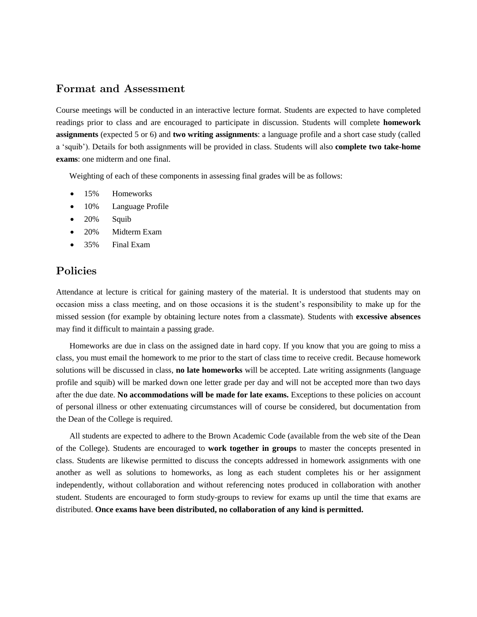### Format and Assessment

Course meetings will be conducted in an interactive lecture format. Students are expected to have completed readings prior to class and are encouraged to participate in discussion. Students will complete **homework assignments** (expected 5 or 6) and **two writing assignments**: a language profile and a short case study (called a 'squib'). Details for both assignments will be provided in class. Students will also **complete two take-home exams**: one midterm and one final.

Weighting of each of these components in assessing final grades will be as follows:

- 15% Homeworks
- 10% Language Profile
- 20% Squib
- 20% Midterm Exam
- 35% Final Exam

## Policies

Attendance at lecture is critical for gaining mastery of the material. It is understood that students may on occasion miss a class meeting, and on those occasions it is the student's responsibility to make up for the missed session (for example by obtaining lecture notes from a classmate). Students with **excessive absences** may find it difficult to maintain a passing grade.

Homeworks are due in class on the assigned date in hard copy. If you know that you are going to miss a class, you must email the homework to me prior to the start of class time to receive credit. Because homework solutions will be discussed in class, **no late homeworks** will be accepted. Late writing assignments (language profile and squib) will be marked down one letter grade per day and will not be accepted more than two days after the due date. **No accommodations will be made for late exams.** Exceptions to these policies on account of personal illness or other extenuating circumstances will of course be considered, but documentation from the Dean of the College is required.

All students are expected to adhere to the Brown Academic Code (available from the web site of the Dean of the College). Students are encouraged to **work together in groups** to master the concepts presented in class. Students are likewise permitted to discuss the concepts addressed in homework assignments with one another as well as solutions to homeworks, as long as each student completes his or her assignment independently, without collaboration and without referencing notes produced in collaboration with another student. Students are encouraged to form study-groups to review for exams up until the time that exams are distributed. **Once exams have been distributed, no collaboration of any kind is permitted.**